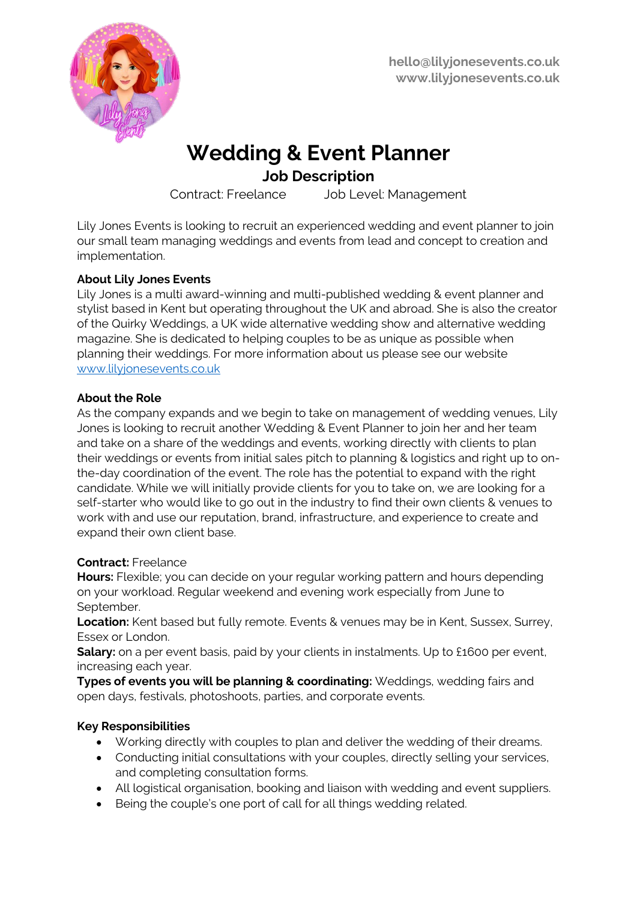

# **Wedding & Event Planner**

# **Job Description**

Contract: Freelance Job Level: Management

Lily Jones Events is looking to recruit an experienced wedding and event planner to join our small team managing weddings and events from lead and concept to creation and implementation.

# **About Lily Jones Events**

Lily Jones is a multi award-winning and multi-published wedding & event planner and stylist based in Kent but operating throughout the UK and abroad. She is also the creator of the Quirky Weddings, a UK wide alternative wedding show and alternative wedding magazine. She is dedicated to helping couples to be as unique as possible when planning their weddings. For more information about us please see our website [www.lilyjonesevents.co.uk](http://www.lilyjonesevents.co.uk/)

## **About the Role**

As the company expands and we begin to take on management of wedding venues, Lily Jones is looking to recruit another Wedding & Event Planner to join her and her team and take on a share of the weddings and events, working directly with clients to plan their weddings or events from initial sales pitch to planning & logistics and right up to onthe-day coordination of the event. The role has the potential to expand with the right candidate. While we will initially provide clients for you to take on, we are looking for a self-starter who would like to go out in the industry to find their own clients & venues to work with and use our reputation, brand, infrastructure, and experience to create and expand their own client base.

## **Contract:** Freelance

**Hours:** Flexible; you can decide on your regular working pattern and hours depending on your workload. Regular weekend and evening work especially from June to September.

**Location:** Kent based but fully remote. Events & venues may be in Kent, Sussex, Surrey, Essex or London.

**Salary:** on a per event basis, paid by your clients in instalments. Up to £1600 per event, increasing each year.

**Types of events you will be planning & coordinating:** Weddings, wedding fairs and open days, festivals, photoshoots, parties, and corporate events.

## **Key Responsibilities**

- Working directly with couples to plan and deliver the wedding of their dreams.
- Conducting initial consultations with your couples, directly selling your services, and completing consultation forms.
- All logistical organisation, booking and liaison with wedding and event suppliers.
- Being the couple's one port of call for all things wedding related.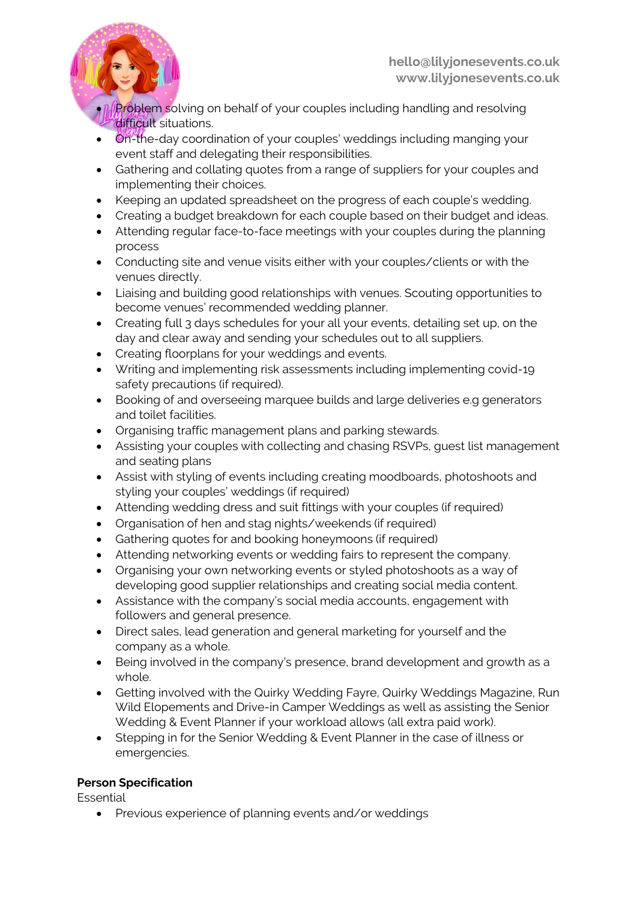

- **I. Problem s**olving on behalf of your couples including handling and resolving difficult situations.
- On-the-day coordination of your couples' weddings including manging your event staff and delegating their responsibilities.
- Gathering and collating quotes from a range of suppliers for your couples and implementing their choices.
- Keeping an updated spreadsheet on the progress of each couple's wedding.
- Creating a budget breakdown for each couple based on their budget and ideas.
- Attending regular face-to-face meetings with your couples during the planning process
- Conducting site and venue visits either with your couples/clients or with the venues directly.
- Liaising and building good relationships with venues. Scouting opportunities to become venues' recommended wedding planner.
- Creating full 3 days schedules for your all your events, detailing set up, on the day and clear away and sending your schedules out to all suppliers.
- Creating floorplans for your weddings and events.
- Writing and implementing risk assessments including implementing covid-19 safety precautions (if required).
- Booking of and overseeing marquee builds and large deliveries e.g generators and toilet facilities.
- Organising traffic management plans and parking stewards.
- Assisting your couples with collecting and chasing RSVPs, guest list management and seating plans
- Assist with styling of events including creating moodboards, photoshoots and styling your couples' weddings (if required)
- Attending wedding dress and suit fittings with your couples (if required)
- Organisation of hen and stag nights/weekends (if required)
- Gathering quotes for and booking honeymoons (if required)
- Attending networking events or wedding fairs to represent the company.
- Organising your own networking events or styled photoshoots as a way of developing good supplier relationships and creating social media content.
- Assistance with the company's social media accounts, engagement with followers and general presence.
- Direct sales, lead generation and general marketing for yourself and the company as a whole.
- Being involved in the company's presence, brand development and growth as a whole.
- Getting involved with the Quirky Wedding Fayre, Quirky Weddings Magazine, Run Wild Elopements and Drive-in Camper Weddings as well as assisting the Senior Wedding & Event Planner if your workload allows (all extra paid work).
- Stepping in for the Senior Wedding & Event Planner in the case of illness or emergencies.

## **Person Specification**

Essential

• Previous experience of planning events and/or weddings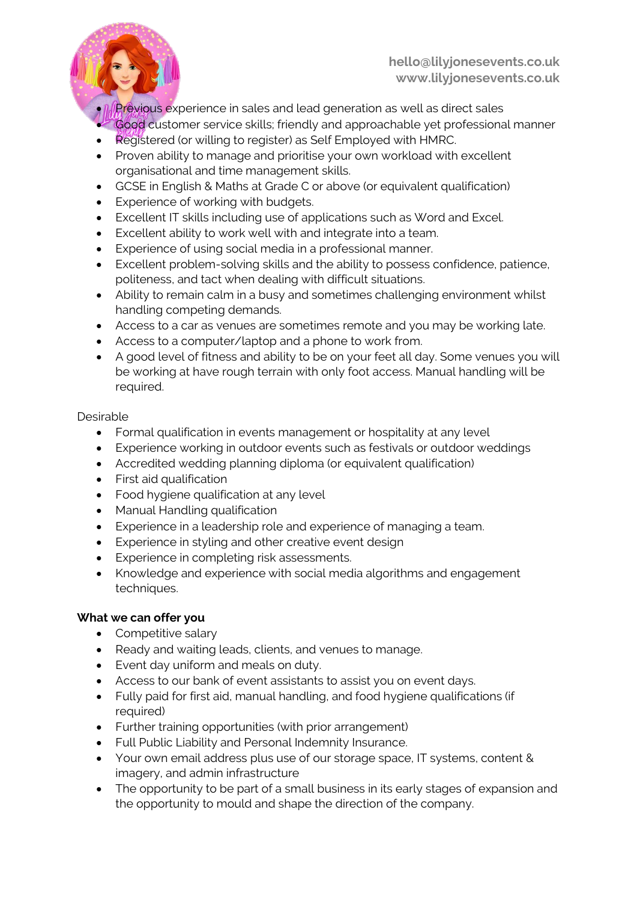

- **Il Previous experience in sales and lead generation as well as direct sales** • Good customer service skills; friendly and approachable yet professional manner
- Registered (or willing to register) as Self Employed with HMRC.
- Proven ability to manage and prioritise your own workload with excellent organisational and time management skills.
- GCSE in English & Maths at Grade C or above (or equivalent qualification)
- Experience of working with budgets.
- Excellent IT skills including use of applications such as Word and Excel.
- Excellent ability to work well with and integrate into a team.
- Experience of using social media in a professional manner.
- Excellent problem-solving skills and the ability to possess confidence, patience, politeness, and tact when dealing with difficult situations.
- Ability to remain calm in a busy and sometimes challenging environment whilst handling competing demands.
- Access to a car as venues are sometimes remote and you may be working late.
- Access to a computer/laptop and a phone to work from.
- A good level of fitness and ability to be on your feet all day. Some venues you will be working at have rough terrain with only foot access. Manual handling will be required.

#### Desirable

- Formal qualification in events management or hospitality at any level
- Experience working in outdoor events such as festivals or outdoor weddings
- Accredited wedding planning diploma (or equivalent qualification)
- First aid qualification
- Food hygiene qualification at any level
- Manual Handling qualification
- Experience in a leadership role and experience of managing a team.
- Experience in styling and other creative event design
- Experience in completing risk assessments.
- Knowledge and experience with social media algorithms and engagement techniques.

#### **What we can offer you**

- Competitive salary
- Ready and waiting leads, clients, and venues to manage.
- Event day uniform and meals on duty.
- Access to our bank of event assistants to assist you on event days.
- Fully paid for first aid, manual handling, and food hygiene qualifications (if required)
- Further training opportunities (with prior arrangement)
- Full Public Liability and Personal Indemnity Insurance.
- Your own email address plus use of our storage space, IT systems, content & imagery, and admin infrastructure
- The opportunity to be part of a small business in its early stages of expansion and the opportunity to mould and shape the direction of the company.